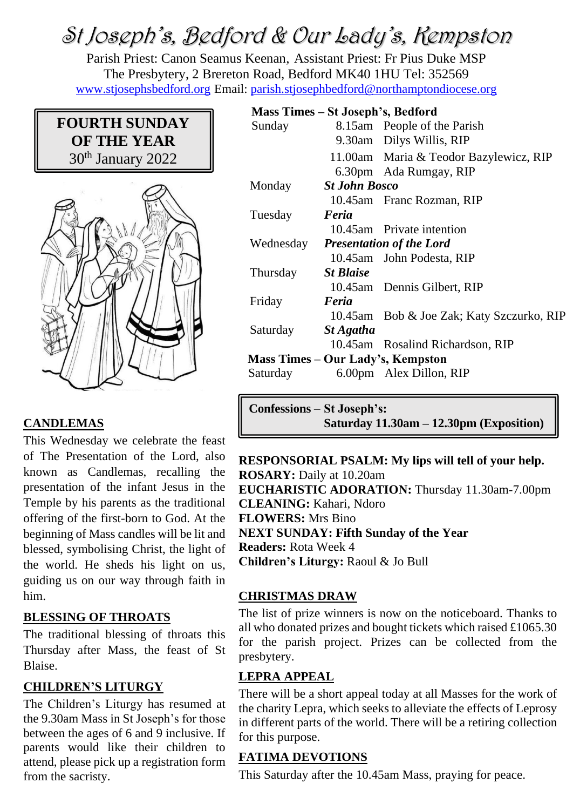# St Joseph's, Bedford & Our Lady's, Kempston

Parish Priest: Canon Seamus Keenan, Assistant Priest: Fr Pius Duke MSP The Presbytery, 2 Brereton Road, Bedford MK40 1HU Tel: 352569 [www.stjosephsbedford.org](http://www.stjosephsbedford.org/) Email: [parish.stjosephbedford@northamptondiocese.org](mailto:parish.stjosephbedford@northamptondiocese.org)

## **FOURTH SUNDAY OF THE YEAR** 30th January 2022



#### **CANDLEMAS**

This Wednesday we celebrate the feast of The Presentation of the Lord, also known as Candlemas, recalling the presentation of the infant Jesus in the Temple by his parents as the traditional offering of the first-born to God. At the beginning of Mass candles will be lit and blessed, symbolising Christ, the light of the world. He sheds his light on us, guiding us on our way through faith in him.

#### **BLESSING OF THROATS**

The traditional blessing of throats this Thursday after Mass, the feast of St Blaise.

#### **CHILDREN'S LITURGY**

The Children's Liturgy has resumed at the 9.30am Mass in St Joseph's for those between the ages of 6 and 9 inclusive. If parents would like their children to attend, please pick up a registration form from the sacristy.

## **Mass Times – St Joseph's, Bedford**

| Sunday                            |                                 | 8.15am People of the Parish               |  |
|-----------------------------------|---------------------------------|-------------------------------------------|--|
|                                   |                                 | 9.30am Dilys Willis, RIP                  |  |
|                                   |                                 | 11.00am Maria & Teodor Bazylewicz, RIP    |  |
|                                   |                                 | 6.30pm Ada Rumgay, RIP                    |  |
| Monday                            | <b>St John Bosco</b>            |                                           |  |
|                                   |                                 | 10.45am Franc Rozman, RIP                 |  |
| Tuesday                           | Feria                           |                                           |  |
|                                   |                                 | 10.45am Private intention                 |  |
| Wednesday                         | <b>Presentation of the Lord</b> |                                           |  |
|                                   |                                 | 10.45am John Podesta, RIP                 |  |
| Thursday                          | <b>St Blaise</b>                |                                           |  |
|                                   |                                 | 10.45am Dennis Gilbert, RIP               |  |
| Friday                            | Feria                           |                                           |  |
|                                   |                                 | 10.45am Bob & Joe Zak; Katy Szczurko, RIP |  |
| Saturday                          | St Agatha                       |                                           |  |
|                                   |                                 | 10.45am Rosalind Richardson, RIP          |  |
| Mass Times – Our Lady's, Kempston |                                 |                                           |  |
| Saturday                          |                                 | 6.00pm Alex Dillon, RIP                   |  |
|                                   |                                 |                                           |  |

**Confessions** – **St Joseph's: Saturday 11.30am – 12.30pm (Exposition)**

**RESPONSORIAL PSALM: My lips will tell of your help. ROSARY:** Daily at 10.20am **EUCHARISTIC ADORATION:** Thursday 11.30am-7.00pm **CLEANING:** Kahari, Ndoro **FLOWERS:** Mrs Bino **NEXT SUNDAY: Fifth Sunday of the Year Readers:** Rota Week 4 **Children's Liturgy:** Raoul & Jo Bull

#### **CHRISTMAS DRAW**

The list of prize winners is now on the noticeboard. Thanks to all who donated prizes and bought tickets which raised £1065.30 for the parish project. Prizes can be collected from the presbytery.

#### **LEPRA APPEAL**

There will be a short appeal today at all Masses for the work of the charity Lepra, which seeks to alleviate the effects of Leprosy in different parts of the world. There will be a retiring collection for this purpose.

#### **FATIMA DEVOTIONS**

This Saturday after the 10.45am Mass, praying for peace.